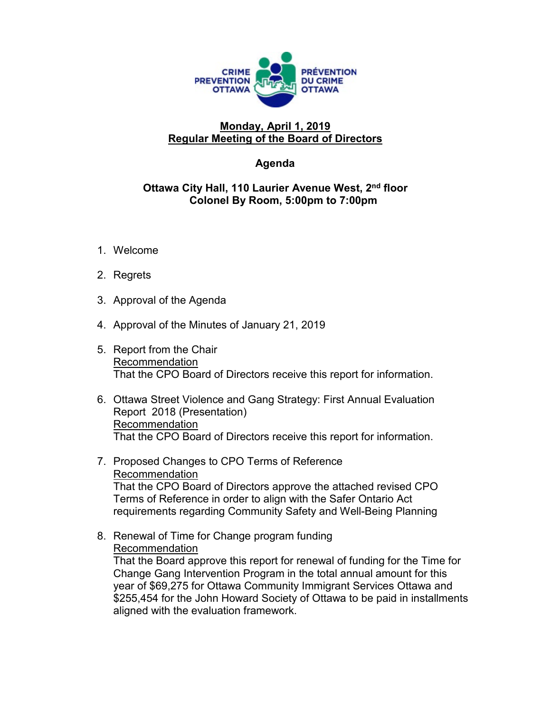

## **Monday, April 1, 2019 Regular Meeting of the Board of Directors**

## **Agenda**

## **Ottawa City Hall, 110 Laurier Avenue West, 2nd floor Colonel By Room, 5:00pm to 7:00pm**

- 1. Welcome
- 2. Regrets
- 3. Approval of the Agenda
- 4. Approval of the Minutes of January 21, 2019
- 5. Report from the Chair Recommendation That the CPO Board of Directors receive this report for information.
- 6. Ottawa Street Violence and Gang Strategy: First Annual Evaluation Report 2018 (Presentation) Recommendation That the CPO Board of Directors receive this report for information.
- 7. Proposed Changes to CPO Terms of Reference Recommendation That the CPO Board of Directors approve the attached revised CPO Terms of Reference in order to align with the Safer Ontario Act requirements regarding Community Safety and Well-Being Planning
- 8. Renewal of Time for Change program funding Recommendation

That the Board approve this report for renewal of funding for the Time for Change Gang Intervention Program in the total annual amount for this year of \$69,275 for Ottawa Community Immigrant Services Ottawa and \$255,454 for the John Howard Society of Ottawa to be paid in installments aligned with the evaluation framework.